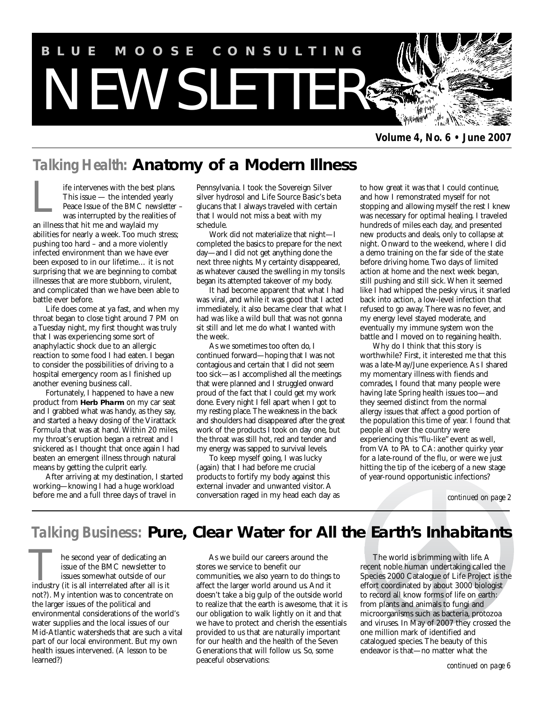

*Volume 4, No. 6 • June 2007*

# *Talking Health:* **Anatomy of a Modern Illness**

ife intervenes with the best plans. This issue — the intended yearly Peace Issue of the *BMC newsletter* – was interrupted by the realities of an illness that hit me and waylaid my abilities for nearly a week. Too much stress; pushing too hard – and a more violently infected environment than we have ever been exposed to in our lifetime… it is not surprising that we are beginning to combat illnesses that are more stubborn, virulent, and complicated than we have been able to battle ever before. L

Life does come at ya fast, and when my throat began to close tight around 7 PM on a Tuesday night, my first thought was truly that I was experiencing some sort of anaphylactic shock due to an allergic reaction to some food I had eaten. I began to consider the possibilities of driving to a hospital emergency room as I finished up another evening business call.

Fortunately, I happened to have a new product from **Herb Pharm** on my car seat and I grabbed what was handy, as they say, and started a heavy dosing of the Virattack Formula that was at hand. Within 20 miles, my throat's eruption began a retreat and I snickered as I thought that once again I had beaten an emergent illness through natural means by getting the culprit early.

After arriving at my destination, I started working—knowing I had a huge workload before me and a full three days of travel in

Pennsylvania. I took the Sovereign Silver silver hydrosol and Life Source Basic's beta glucans that I always traveled with certain that I would not miss a beat with my schedule.

Work did not materialize that night—I completed the basics to prepare for the next day—and I did not get anything done the next three nights. My certainty disappeared, as whatever caused the swelling in my tonsils began its attempted takeover of my body.

It had become apparent that what I had was viral, and while it was good that I acted immediately, it also became clear that what I had was like a wild bull that was not gonna sit still and let me do what I wanted with the week.

As we sometimes too often do, I continued forward—hoping that I was not contagious and certain that I did not seem too sick—as I accomplished all the meetings that were planned and I struggled onward proud of the fact that I could get my work done. Every night I fell apart when I got to my resting place. The weakness in the back and shoulders had disappeared after the great work of the products I took on day one, but the throat was still hot, red and tender and my energy was sapped to survival levels.

To keep myself going, I was lucky (again) that I had before me crucial products to fortify my body against this external invader and unwanted visitor. A conversation raged in my head each day as

to how great it was that I could continue, and how I remonstrated myself for not stopping and allowing myself the rest I knew was necessary for optimal healing. I traveled hundreds of miles each day, and presented new products and deals, only to collapse at night. Onward to the weekend, where I did a demo training on the far side of the state before driving home. Two days of limited action at home and the next week began, still pushing and still sick. When it seemed like I had whipped the pesky virus, it snarled back into action, a low-level infection that refused to go away. There was no fever, and my energy level stayed moderate, and eventually my immune system won the battle and I moved on to regaining health.

Why do I think that this story is worthwhile? First, it interested me that this was a late-May/June experience. As I shared my momentary illness with fiends and comrades, I found that many people were having late Spring health issues too—and they seemed distinct from the normal allergy issues that affect a good portion of the population this time of year. I found that people all over the country were experiencing this "flu-like" event as well, from VA to PA to CA: another quirky year for a late-round of the flu, or were we just hitting the tip of the iceberg of a new stage of year-round opportunistic infections?

*continued on page 2*

# *Talking Business:* **Pure, Clear Water for All the Earth's Inhabitants**

he second year of dedicating an issue of the BMC newsletter to issues somewhat outside of our **industry** the second year of dedicating an issue of the BMC newsletter to issues somewhat outside of our industry (it is all interrelated after all is it not?). My intention was to concentrate on the larger issues of the political and environmental considerations of the world's water supplies and the local issues of our Mid-Atlantic watersheds that are such a vital part of our local environment. But my own health issues intervened. (A lesson to be learned?)

As we build our careers around the stores we service to benefit our communities, we also yearn to do things to affect the larger world around us. And it doesn't take a big gulp of the outside world to realize that the earth is awesome, that it is our obligation to walk lightly on it and that we have to protect and cherish the essentials provided to us that are naturally important for our health and the health of the Seven Generations that will follow us. So, some peaceful observations:

The world is brimming with life. A recent noble human undertaking called the Species 2000 Catalogue of Life Project is the effort coordinated by about 3000 biologist to record all know forms of life on earth: from plants and animals to fungi and microorganisms such as bacteria, protozoa and viruses. In May of 2007 they crossed the one million mark of identified and catalogued species. The beauty of this endeavor is that—no matter what the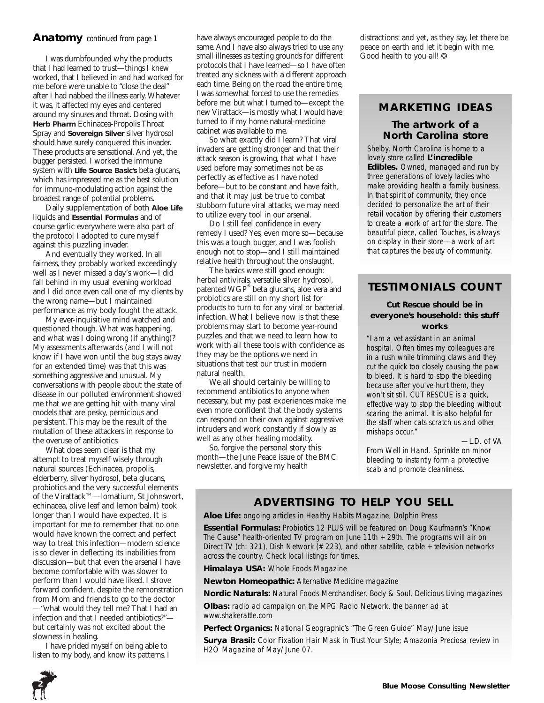# **Anatomy** *continued from page 1*

I was dumbfounded why the products that I had learned to trust—things I knew worked, that I believed in and had worked for me before were unable to "close the deal" after I had nabbed the illness early. Whatever it was, it affected my eyes and centered around my sinuses and throat. Dosing with **Herb Pharm** Echinacea-Propolis Throat Spray and **Sovereign Silver** silver hydrosol should have surely conquered this invader. These products are sensational. And yet, the bugger persisted. I worked the immune system with **Life Source Basic's** beta glucans, which has impressed me as the best solution for immuno-modulating action against the broadest range of potential problems.

Daily supplementation of both **Aloe Life** liquids and **Essential Formulas** and of course garlic everywhere were also part of the protocol I adopted to cure myself against this puzzling invader.

And eventually they worked. In all fairness, they probably worked exceedingly well as I never missed a day's work—I did fall behind in my usual evening workload and I did once even call one of my clients by the wrong name—but I maintained performance as my body fought the attack.

My ever-inquisitive mind watched and questioned though. What was happening, and what was I doing wrong (if anything)? My assessments afterwards (and I will not know if I have won until the bug stays away for an extended time) was that this was something aggressive and unusual. My conversations with people about the state of disease in our polluted environment showed me that we are getting hit with many viral models that are pesky, pernicious and persistent. This may be the result of the mutation of these attackers in response to the overuse of antibiotics.

What does seem clear is that my attempt to treat myself wisely through natural sources (Echinacea, propolis, elderberry, silver hydrosol, beta glucans, probiotics and the very successful elements of the Virattack™—lomatium, St Johnswort, echinacea, olive leaf and lemon balm) took longer than I would have expected. It is important for me to remember that no one would have known the correct and perfect way to treat this infection—modern science is so clever in deflecting its inabilities from discussion—but that even the arsenal I have become comfortable with was slower to perform than I would have liked. I strove forward confident, despite the remonstration from Mom and friends to go to the doctor —"what would they tell me? That I had an infection and that I needed antibiotics?" but certainly was not excited about the slowness in healing.

I have prided myself on being able to listen to my body, and know its patterns. I have always encouraged people to do the same. And I have also always tried to use any small illnesses as testing grounds for different protocols that I have learned—so I have often treated any sickness with a different approach each time. Being on the road the entire time, I was somewhat forced to use the remedies before me: but what I turned to—except the new Virattack—is mostly what I would have turned to if my home natural-medicine cabinet was available to me.

So what exactly did I learn? That viral invaders are getting stronger and that their attack season is growing, that what I have used before may sometimes not be as perfectly as effective as I have noted before—but to be constant and have faith, and that it may just be true to combat stubborn future viral attacks, we may need to utilize every tool in our arsenal.

Do I still feel confidence in every remedy I used? Yes, even more so—because this was a tough bugger, and I was foolish enough not to stop—and I still maintained relative health throughout the onslaught.

The basics were still good enough: herbal antivirals, versatile silver hydrosol, patented WGP® beta glucans, aloe vera and probiotics are still on my short list for products to turn to for any viral or bacterial infection. What I believe now is that these problems may start to become year-round puzzles, and that we need to learn how to work with all these tools with confidence as they may be the options we need in situations that test our trust in modern natural health.

We all should certainly be willing to recommend antibiotics to anyone when necessary, but my past experiences make me even more confident that the body systems can respond on their own against aggressive intruders and work constantly if slowly as well as any other healing modality.

So, forgive the personal story this month—the June Peace issue of the BMC newsletter, and forgive my health

distractions: and yet, as they say, let there be peace on earth and let it begin with me. Good health to you all!  $\odot$ 

# **MARKETING IDEAS**

# **The artwork of a North Carolina store**

Shelby, North Carolina is home to a lovely store called *L'incredible Edibles.* Owned, managed and run by three generations of lovely ladies who make providing health a family business. In that spirit of community, they once decided to personalize the art of their retail vocation by offering their customers to create a work of art for the store. The beautiful piece, called *Touches*, is always on display in their store—a work of art that captures the beauty of community.

# **TESTIMONIALS COUNT**

### *Cut Rescue should be in everyone's household: this stuff works*

"I am a vet assistant in an animal hospital. Often times my colleagues are in a rush while trimming claws and they cut the quick too closely causing the paw to bleed. It is hard to stop the bleeding because after you've hurt them, they won't sit still. CUT RESCUE is a quick, effective way to stop the bleeding without scaring the animal. It is also helpful for the staff when cats scratch us and other mishaps occur."

*—L.D. of VA*

*From Well in Hand. Sprinkle on minor bleeding to instantly form a protective scab and promote cleanliness.*

# **ADVERTISING TO HELP YOU SELL**

**Aloe Life:** ongoing articles in Healthy Habits Magazine, Dolphin Press

**Essential Formulas:** Probiotics 12 PLUS will be featured on Doug Kaufmann's "Know The Cause" health-oriented TV program on June 11th + 29th. The programs will air on Direct TV (ch: 321), Dish Network (# 223), and other satellite, cable + television networks across the country. Check local listings for times.

**Himalaya USA:** *Whole Foods Magazine*

**Newton Homeopathic:** *Alternative Medicine* magazine

**Nordic Naturals:** *Natural Foods Merchandiser, Body & Soul, Delicious Living* magazines

**Olbas:** radio ad campaign on the MPG Radio Network, the banner ad at www.shakerattle.com

**Perfect Organics:** *National Geographic's "The Green Guide"* May/June issue **Surya Brasil:** Color Fixation Hair Mask in *Trust Your Style*; Amazonia Preciosa review in *H2O Magazine* of May/June 07.

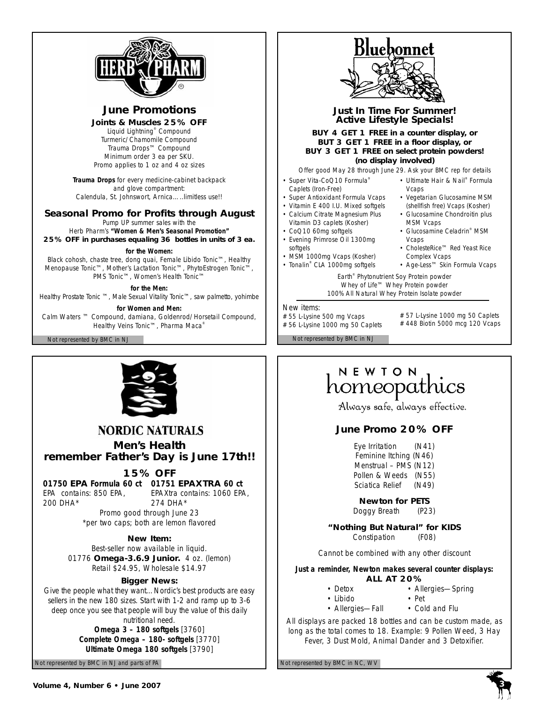

# **June Promotions**

### **Joints & Muscles 25% OFF**

Liquid Lightning® Compound Turmeric/Chamomile Compound Trauma Drops™ Compound *Minimum order 3 ea per SKU. Promo applies to 1 oz and 4 oz sizes* 

**Trauma Drops** for every medicine-cabinet backpack and glove compartment: Calendula, St. Johnswort, Arnica…..*limitless use!!*

# **Seasonal Promo for Profits through August**

Pump UP summer sales with the Herb Pharm's **"Women & Men's Seasonal Promotion"**

**25% OFF in purchases equaling 36 bottles in units of 3 ea.**

### *for the Women:*

Black cohosh, chaste tree, dong quai, Female Libido Tonic™, Healthy Menopause Tonic™, Mother's Lactation Tonic™, PhytoEstrogen Tonic™, PMS Tonic™, Women's Health Tonic™

*for the Men:*

Healthy Prostate Tonic ™, Male Sexual Vitality Tonic™, saw palmetto, yohimbe

*for Women and Men:*

Calm Waters ™ Compound, damiana, Goldenrod/Horsetail Compound, Healthy Veins Tonic™, Pharma Maca®

Not represented by BMC in NJ Not represented by BMC in NJ



*Just In Time For Summer! Active Lifestyle Specials!* 

**BUY 4 GET 1 FREE in a counter display, or BUT 3 GET 1 FREE in a floor display, or BUY 3 GET 1 FREE on select protein powders! (no display involved)** 

*Offer good May 28 through June 29. Ask your BMC rep for details*

- Super Vita-CoQ10 Formula<sup>®</sup> Caplets (Iron-Free)
- Super Antioxidant Formula Vcaps
- Vitamin E 400 I.U. Mixed softgels
- Calcium Citrate Magnesium Plus
- Vitamin D3 caplets (Kosher) • CoQ10 60mg softgels
- Evening Primrose Oil 1300mg softgels
- MSM 1000mg Vcaps (Kosher)
- Tonalin® CLA 1000mg softgels
- Ultimate Hair & Nail® Formula Vcaps • Vegetarian Glucosamine MSM
- (shellfish free) Vcaps (Kosher) • Glucosamine Chondroitin plus MSM Vcaps
- Glucosamine Celadrin® MSM Vcaps
- CholesteRice™ Red Yeast Rice Complex Vcaps
- Age-Less™ Skin Formula Vcaps

Earth® Phytonutrient Soy Protein powder Whey of Life™ Whey Protein powder 100% All Natural Whey Protein Isolate powder

### New items:

# 55 L-Lysine 500 mg Vcaps # 56 L-Lysine 1000 mg 50 Caplets # 57 L-Lysine 1000 mg 50 Caplets # 448 Biotin 5000 mcg 120 Vcaps

- -

# NEWION<br>homeopathics

Always safe, always effective.

# **June Promo 20% OFF**

Eye Irritation (N41) Feminine Itching (N46) Menstrual – PMS (N12) Pollen & Weeds (N55) Sciatica Relief (N49)

**Newton for PETS**

Doggy Breath (P23)

**"Nothing But Natural" for KIDS**

Constipation (F08)

*Cannot be combined with any other discount*

**Just a reminder, Newton makes several counter displays: ALL AT 20%**

- Detox Allergies-Spring
	-
- Libido Pet
- Allergies-Fall Cold and Flu

All displays are packed 18 bottles and can be custom made, as long as the total comes to 18. *Example:* 9 Pollen Weed, 3 Hay Fever, 3 Dust Mold, Animal Dander and 3 Detoxifier.



# **NORDIC NATURALS**

**Men's Health remember Father's Day is June 17th!!**

# **15% OFF**

**01750 EPA Formula 60 ct 01751 EPAXTRA 60 ct** 

*EPA contains:* 850 EPA, *EPAXtra contains:* 1060 EPA, 274 DHA\*

*Promo good through June 23*  \*per two caps; both are lemon flavored

# **New Item:**

*Best-seller now available in liquid.* 01776 **Omega-3.6.9 Junior.** 4 oz. (lemon) Retail \$24.95, Wholesale \$14.97

# **Bigger News:**

Give the people what they want…Nordic's best products are easy sellers in the new 180 sizes. Start with 1-2 and ramp up to 3-6 deep once you see that people will buy the value of this daily nutritional need. **Omega 3 – 180 softgels** [3760] **Complete Omega – 180- softgels** [3770] **Ultimate Omega 180 softgels** [3790]

Not represented by BMC in NJ and parts of PA Not represented by BMC in NC, WV



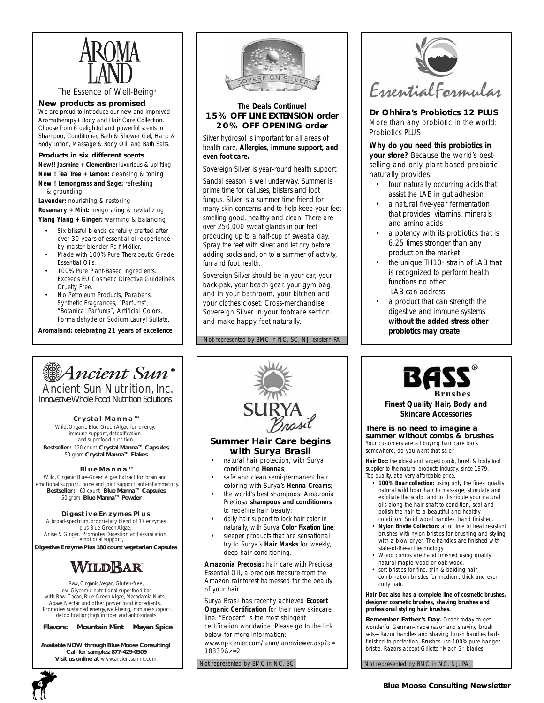

*The Essence of Well-Being®*

#### **New products as promised**

We are proud to introduce our new and improved Aromatherapy+ Body and Hair Care Collection. Choose from 6 delightful and powerful scents in Shampoo, Conditioner, Bath & Shower Gel, Hand & Body Lotion, Massage & Body Oil, and Bath Salts.

#### **Products in six different scents New!! Jasmine + Clementine:** luxurious & uplifting

**New!! Tea Tree + Lemon:** cleansing & toning **New!! Lemongrass and Sage:** refreshing & grounding

**Lavender:** nourishing & restoring **Rosemary + Mint:** invigorating & revitalizing **Ylang Ylang + Ginger:** warming & balancing

- Six blissful blends carefully crafted after over 30 years of essential oil experience by master blender Ralf Möller.
- Made with 100% Pure Therapeutic Grade Essential Oils.
- 100% Pure Plant-Based Ingredients. Exceeds EU Cosmetic Directive Guidelines. Cruelty Free.
- No Petroleum Products, Parabens, Synthetic Fragrances, "Parfums", "Botanical Parfums", Artificial Colors, Formaldehyde or Sodium Lauryl Sulfate.

*Aromaland: celebrating 21 years of excellence*



### *The Deals Continue!*  **15% OFF LINE EXTENSION order 20% OFF OPENING order**

*Silver hydrosol is important for all areas of health care. Allergies, immune support, and even foot care.*

Sovereign Silver is year-round health support

Sandal season is well underway. Summer is prime time for calluses, blisters and foot fungus. Silver is a summer time friend for many skin concerns and to help keep your feet smelling good, healthy and clean. There are over 250,000 sweat glands in our feet producing up to a half-cup of sweat a day. Spray the feet with silver and let dry before adding socks and, on to a summer of activity, fun and foot health.

Sovereign Silver should be in your car, your back-pak, your beach gear, your gym bag, and in your bathroom, your kitchen and your clothes closet. Cross-merchandise Sovereign Silver in your footcare section and make happy feet naturally.

Not represented by BMC in NC, SC, NJ, eastern PA



**Dr Ohhira's Probiotics 12 PLUS** More than any probiotic in the world: Probiotics PLUS

*Why do you need this probiotics in your store?* Because the world's bestselling and only plant-based probiotic naturally provides:

- four naturally occurring acids that assist the LAB in gut adhesion
- a natural five-year fermentation that provides vitamins, minerals and amino acids
- a potency with its probiotics that is 6.25 times stronger than any product on the market
- the unique TH10- strain of LAB that is recognized to perform health functions no other LAB can address
- a product that can strength the digestive and immune systems *without the added stress other probiotics may create*

# **Ancient Sun®**

Ancient Sun Nutrition, Inc. *Innovative Whole Food Nutrition Solutions*

#### **Crystal Manna™**

Wild, Organic Blue-Green Algae for energy, immune support, detoxification and superfood nutrition. **Bestseller:** 120 count **Crystal Manna™ Capsules**, 50 gram **Crystal Manna™ Flakes**

#### **Blue Manna™**

Wild, Organic Blue-Green Algae Extract for brain and emotional support, bone and joint support; anti-inflammatory. **Bestseller:** 60 count **Blue Manna™ Capsules** 50 gram **Blue Manna™ Powder**

#### **Digestive Enzymes Plus**

emotional support, A broad-spectrum, proprietary blend of 17 enzymes plus Blue Green Algae, Anise & Ginger. Promotes Digestion and assimilation.

**Digestive Enzyme Plus 180 count vegetarian Capsules**

# WildRar

Raw, Organic, Vegan, Gluten-free, Low Glycemic nutritional superfood bar with Raw Cacao, Blue Green Algae, Macadamia Nuts, Agave Nectar and other power food ingredients. Promotes sustained energy, well-being, immune support, detoxification; high in fiber and antioxidants

#### **Flavors: Mountain Mint Mayan Spice**

**Available NOW through Blue Moose Consulting! Call for samples: 877-429-0509 Visit us online at** www.ancientsuninc.com





- conditioning **Hennas**; safe and clean semi-permanent hair
- coloring with Surya's **Henna Creams**;
- the world's best shampoos: Amazonia Preciosa **shampoos and conditioners** to redefine hair beauty;
- daily hair support to lock hair color in naturally, with Surya **Color Fixation Line**;
- sleeper products that are sensational: try to Surya's **Hair Masks** for weekly, deep hair conditioning.

**Amazonia Precosia:** hair care with Preciosa Essential Oil, a precious treasure from the Amazon rainforest harnessed for the beauty of your hair.

Surya Brasil has recently achieved **Ecocert Organic Certification** for their new skincare line. "Ecocert" is the most stringent certification worldwide. Please go to the link below for more information: www.npicenter.com/anm/anmviewer.asp?a= 18339&z=2

Not represented by BMC in NC, SC



*Finest Quality Hair, Body and Skincare Accessories*

**There is no need to imagine a summer without combs & brushes** *Your customers are all buying hair care tools somewhere, do you want that sale?*

*Hair Doc:* the oldest and largest comb, brush & body tool supplier to the natural products industry, since 1979. Top quality, at a very affordable price.

- **100% Boar collection:** using only the finest quality natural wild boar hair to massage, stimulate and exfoliate the scalp, and to distribute your natural oils along the hair shaft to condition, seal and polish the hair to a beautiful and healthy condition. Solid wood handles, hand finished.
- **Nylon Bristle Collection:** a full line of heat resistant brushes with nylon bristles for brushing and styling with a blow dryer. The handles are finished with state-of-the-art technology
- Wood combs are hand finished using quality natural maple wood or oak wood.
- soft bristles for fine, thin & balding hair; combination bristles for medium, thick and even curly hair.

**Hair Doc also has a complete line of cosmetic brushes, designer cosmetic brushes, shaving brushes and professional styling hair brushes.**

**Remember Father's Day.** Order today to get wonderful German-made razor and shaving brush sets—Razor handles and shaving brush handles hadfinished to perfection. Brushes use 100% pure badger bristle. Razors accept Gillette "Mach-3" blades

Not represented by BMC in NC, NJ, PA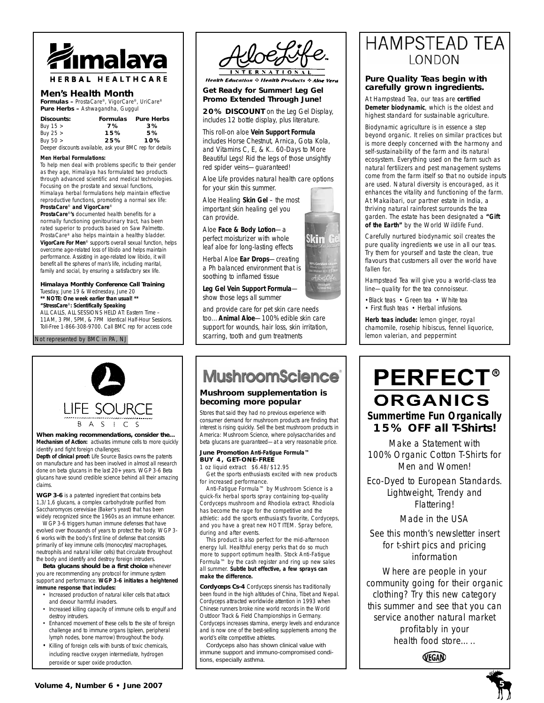

# **Men's Health Month**

**Formulas –** ProstaCare®, VigorCare®, UriCare® **Pure Herbs –** Ashwagandha, Guggul

| Discounts: | <b>Formulas</b> | <b>Pure Herbs</b> |
|------------|-----------------|-------------------|
| Buy $15 >$ | 7%              | 3%                |
| Buy $25 >$ | 15%             | 5%                |
| Buy $50 >$ | 25%             | 10%               |

Buy 50 > **25% 10%** *Deeper discounts available, ask your BMC rep for details*

#### **Men Herbal Formulations:**

To help men deal with problems specific to their gender as they age, Himalaya has formulated two products through advanced scientific and medical technologies. Focusing on the prostate and sexual functions, Himalaya herbal formulations help maintain effective reproductive functions, promoting a normal sex life: **ProstaCare**® **and VigorCare**®

**ProstaCare**®**'s** documented health benefits for a normally functioning genitourinary tract, has been rated superior to products based on Saw Palmetto. ProstaCare® also helps maintain a healthy bladder. **VigorCare For Men**® supports overall sexual function, helps overcome age-related loss of libido and helps maintain performance. Assisting in age-related low libido, it will benefit all the spheres of man's life, including marital, family and social, by ensuring a satisfactory sex life.

**Himalaya Monthly Conference Call Training** Tuesday, June 19 & Wednesday, June 20 *\*\* NOTE: One week earlier than usual! \*\** **"StressCare**®**: Scientifically Speaking** ALL CALLS, ALL SESSIONS HELD AT: Eastern Time – 11AM, 3 PM, 5PM, & 7PM Identical Half-Hour Sessions. Toll-Free 1-866-308-9700. Call BMC rep for access code

Not represented by BMC in PA, NJ



**When making recommendations, consider the… Mechanism of Action:** activates immune cells to more quickly identify and fight foreign challenges;

**Depth of clinical proof:** *Life Source Basics* owns the patents on manufacture and has been involved in almost all research done on beta glucans in the last 20+ years. WGP 3-6 Beta glucans have sound credible science behind all their amazing claims.

**WGP 3-6** is a patented ingredient that contains beta 1,3/1,6 glucans, a complex carbohydrate purified from Saccharomyces cerevisiae (Baker's yeast) that has been widely recognized since the 1960s as an immune enhancer.

WGP 3-6 triggers human immune defenses that have evolved over thousands of years to protect the body. WGP 3- 6 works with the body's first line of defense that consists primarily of key immune cells (monocytes/macrophages, neutrophils and natural killer cells) that circulate throughout the body and identify and destroy foreign intruders.

**Beta glucans should be a first choice** whenever you are recommending any protocol for immune system support and performance. **WGP 3-6 initiates a heightened immune response that includes:**

- Increased production of natural killer cells that attack and devour harmful invaders.
- Increased killing capacity of immune cells to engulf and destroy intruders.
- Enhanced movement of these cells to the site of foreign challenge and to immune organs (spleen, peripheral lymph nodes, bone marrow) throughout the body.
- Killing of foreign cells with bursts of toxic chemicals, including reactive oxygen intermediate, hydrogen peroxide or super oxide production.



**Health Education & Health Products & Aloe Vera** 

#### **Get Ready for Summer! Leg Gel Promo Extended Through June!**

**20% DISCOUNT** on the Leg Gel Display, includes 12 bottle display, plus literature.

This roll-on aloe *Vein Support Formula* includes Horse Chestnut, Arnica, Gota Kola, and Vitamins C, E, & K.. 60-Days to *More Beautiful Legs!* Rid the legs of those unsightly red spider veins—*guaranteed!*

Aloe Life provides natural health care options for your skin this summer.

Aloe Healing **Skin Gel** – the most important skin healing gel you can provide.

Aloe **Face & Body Lotion**—a perfect moisturizer with whole leaf aloe for long-lasting effects

Herbal Aloe **Ear Drops**—creating a Ph balanced environment that is soothing to inflamed tissue

**Leg Gel Vein Support Formula** show those legs all summer

and provide care for pet skin care needs too…**Animal Aloe**—100% edible skin care support for wounds, hair loss, skin irritation, scarring, tooth and gum treatments

# **MushroomScience**®

### **Mushroom supplementation is becoming more popular**

Stores that said they had no previous experience with consumer demand for mushroom products are finding that interest is rising quickly. Sell the best mushroom products in America: Mushroom Science, where polysaccharides and beta glucans are guaranteed—at a very reasonable price.

#### **June Promotion** *Anti-Fatigue Formula™* **BUY 4, GET-ONE-FREE** 1 oz liquid extract \$6.48/\$12.95

Get the sports enthusiasts excited with new products for increased performance.

*Anti-Fatigue Formula*™ by Mushroom Science is a quick-fix herbal sports spray containing top-quality Cordyceps mushroom and Rhodiola extract. Rhodiola has become the rage for the competitive and the athletic: add the sports enthusiast's favorite, Cordyceps, and you have a great new HOT ITEM. Spray before, during and after events.

This product is also perfect for the mid-afternoon energy lull. Healthful energy perks that do so much more to support optimum health. Stock Anti-Fatigue Formula™ by the cash register and ring up new sales all summer. *Subtle but effective, a few sprays can make the difference.*

**Cordyceps Cs-4** Cordyceps sinensis has traditionally been found in the high altitudes of China, Tibet and Nepal. Cordyceps attracted worldwide attention in 1993 when Chinese runners broke nine world records in the *World Outdoor Track & Field Championships* in Germany. Cordyceps increases stamina, energy levels and endurance and is now one of the best-selling supplements among the world's elite competitive athletes.

Cordyceps also has shown clinical value with immune support and immuno-compromised conditions, especially asthma.

# **HAMPSTEAD TEA LONDON**

### **Pure Quality Teas begin with carefully grown ingredients.**

At Hampstead Tea, our teas are **certified Demeter biodynamic**, which is the oldest and highest standard for sustainable agriculture.

Biodynamic agriculture is in essence a step beyond organic. It relies on similar practices but is more deeply concerned with the harmony and self-sustainability of the farm and its natural ecosystem. Everything used on the farm such as natural fertilizers and pest management systems come from the farm itself so that no outside inputs are used. Natural diversity is encouraged, as it enhances the vitality and functioning of the farm. At Makaibari, our partner estate in India, a thriving natural rainforest surrounds the tea garden. The estate has been designated a **"Gift of the Earth"** by the World Wildlife Fund.

Carefully nurtured biodynamic soil creates the pure quality ingredients we use in all our teas. Try them for yourself and taste the clean, true flavours that customers all over the world have fallen for.

Hampstead Tea will give you a world-class tea line—quality for the tea connoisseur.

•Black teas • Green tea • White tea • First flush teas • Herbal infusions.

**Herb teas include:** lemon ginger, royal chamomile, rosehip hibiscus, fennel liquorice, lemon valerian, and peppermint

# **PERFECT® ORGANICS** *Summertime Fun Organically* **15% OFF all T-Shirts!**

Make a Statement with 100% Organic Cotton T-Shirts for Men and Women!

Eco-Dyed to European Standards. Lightweight, Trendy and Flattering!

Made in the USA

*See this month's newsletter insert for t-shirt pics and pricing information* 

Where are people in your community going for their organic clothing? Try this new category this summer and see that you can service another natural market profitably in your health food store…..





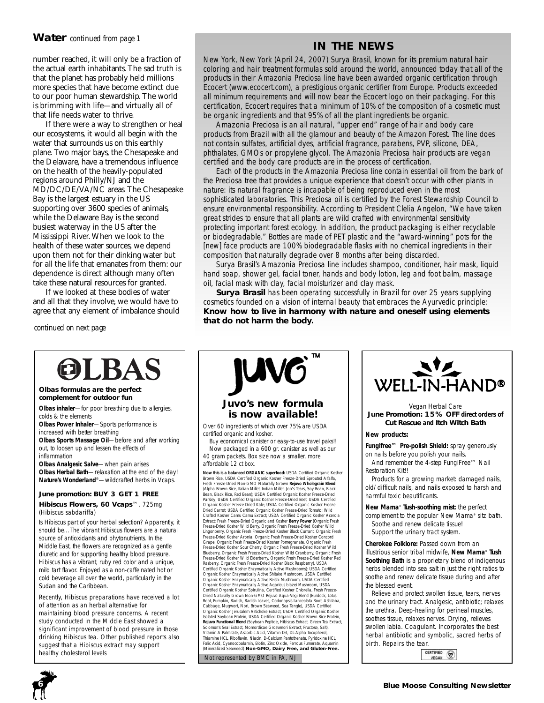# **Water** *continued from page 1*

number reached, it will only be a fraction of the actual earth inhabitants. The sad truth is that the planet has probably held millions more species that have become extinct due to our poor human stewardship. The world is brimming with life—and virtually all of that life needs water to thrive.

If there were a way to strengthen or heal our ecosystems, it would all begin with the water that surrounds us on this earthly plane. Two major bays, the Chesapeake and the Delaware, have a tremendous influence on the health of the heavily-populated regions around Philly/NJ and the MD/DC/DE/VA/NC areas. The Chesapeake Bay is the largest estuary in the US supporting over 3600 species of animals, while the Delaware Bay is the second busiest waterway in the US after the Mississippi River. When we look to the health of these water sources, we depend upon them not for their dinking water but for all the life that emanates from them: our dependence is direct although many often take these natural resources for granted.

If we looked at these bodies of water and all that they involve, we would have to agree that any element of imbalance should

*continued on next page*

# **IN THE NEWS**

New York, New York (April 24, 2007) Surya Brasil, known for its premium natural hair coloring and hair treatment formulas sold around the world, announced today that all of the products in their *Amazonia Preciosa line* have been awarded organic certification through Ecocert (www.ecocert.com), a prestigious organic certifier from Europe. Products exceeded all minimum requirements and will now bear the Ecocert logo on their packaging. For this certification, Ecocert requires that a minimum of 10% of the composition of a cosmetic must be organic ingredients and that 95% of all the plant ingredients be organic.

Amazonia Preciosa is an all natural, "upper end" range of hair and body care products from Brazil with all the glamour and beauty of the Amazon Forest. The line *does not contain* sulfates, artificial dyes, artificial fragrance, parabens, PVP, silicone, DEA, phthalates, GMOs or propylene glycol. The Amazonia Preciosa hair products are vegan certified and the body care products are in the process of certification.

Each of the products in the Amazonia Preciosa line contain essential oil from the bark of the Preciosa tree that provides a unique experience that doesn't occur with other plants in nature: its natural fragrance is incapable of being reproduced even in the most sophisticated laboratories. This Preciosa oil is certified by the *Forest Stewardship Council* to ensure environmental responsibility. According to President Clelia Angelon, *"We have taken great strides to ensure that all plants are wild crafted with environmental sensitivity protecting important forest ecology. In addition, the product packaging is either recyclable or biodegradable."* Bottles are made of PET plastic and the "award-winning" pots for the [new] face products are 100% biodegradable flasks with no chemical ingredients in their composition that naturally degrade over 8 months after being discarded.

Surya Brasil's *Amazonia Preciosa* line includes shampoo, conditioner, hair mask, liquid hand soap, shower gel, facial toner, hands and body lotion, leg and foot balm, massage oil, facial mask with clay, facial moisturizer and clay mask.

**Surya Brasil** has been operating successfully in Brazil for over 25 years supplying cosmetics founded on a vision of internal beauty that embraces the Ayurvedic principle: *Know how to live in harmony with nature and oneself using elements that do not harm the body.*



#### **Olbas formulas are the perfect complement for outdoor fun**

**Olbas inhaler**—for poor breathing due to allergies, colds & the elements

**Olbas Power Inhaler**—Sports performance is increased with better breathing

**Olbas Sports Massage Oil**—before and after working out, to loosen up and lessen the effects of inflammation

**Olbas Analgesic Salve**—when pain arises **Olbas Herbal Bath**—relaxation at the end of the day! **Nature's Wonderland**®—wildcrafted herbs in Vcaps.

### **June promotion: BUY 3 GET 1 FREE**

**Hibiscus Flowers, 60 Vcaps**™, 725mg (*Hibiscus sabdariffa*)

Is Hibiscus part of your herbal selection? Apparently, it should be…The vibrant Hibiscus flowers are a natural source of antioxidants and phytonutrients. In the Middle East, the flowers are recognized as a gentle diuretic and for supporting healthy blood pressure. Hibiscus has a vibrant, ruby red color and a unique, mild tart flavor. Enjoyed as a non-caffeinated hot or cold beverage all over the world, particularly in the Sudan and the Caribbean.

Recently, Hibiscus preparations have received a lot of attention as an herbal alternative for maintaining blood pressure concerns. A recent study conducted in the Middle East showed a significant improvement of blood pressure in those drinking Hibiscus tea. Other published reports also suggest that a Hibiscus extract may support healthy cholesterol levels<br>
Not represented by BMC in PA, NJ



# *Juvo's new formula is now available!*

Over 60 ingredients of which over 75% are USDA certified organic and kosher.

Buy economical canister or easy-to-use travel paks!! Now packaged in a 600 gr. canister as well as our 40 gram packets. Box size now a smaller, more affordable 12 ct box.

**Now this is a balanced ORGANIC superfood:** USDA Certified Organic Kosher<br>Brown Rice, USDA Certified Organic Kosher Freeze-Dried Sprouted Alfalfa,<br>Fresh Freeze-Dried Non-GMO Naturally Grown Rejuvo Wholegrain Blend (Alpha Brown Rice, Italian Millet, Indian Millet, Job's Tears, Soy Bean, Black Bean, Black Rice, Red Bean); USDA Certified Organic Kosher Freeze-Dried Parsley; USDA Certified Organic Kosher Freeze-Dried Beet; USDA Certified Organic Kosher Freeze-Dried Kale; USDA Certified Organic Kosher Freeze-Dried Carrot; USDA Certified Organic Kosher Freeze-Dried Tomato; Wild Crafted Kosher Camu Camu Extract; USDA Certified Organic Kosher Acerola Extract; Fresh Freeze-Dried Organic and Kosher **Berry Power** (Organic Fresh Freeze-Dried Kosher Wild Berry, Organic Fresh Freeze-Dried Kosher Wild<br>Lingonberry, Organic Fresh Freeze-Dried Kosher Black Currant, Organic Fresh<br>Freeze-Dried Kosher Aronia, Organic Fresh Freeze-Dried Kosher Concord<br>Grape Freeze-Dried Kosher Sour Cherry, Organic Fresh Freeze-Dried Kosher Wild<br>Blueberry, Organic Fresh Freeze-Dried Kosher Wild Cranberry, Organic Fresh<br>Freeze-Dried Kosher Wild Elderberry, Organic Fresh Freeze-Dried Kosher Red Rasberry, Organic Fresh Freeze-Dried Kosher Black Raspberry), USDA Certified Organic Kosher Enzymatically Active Mushrooms): USDA Certified Organic Kosher Enzymatically Active Shitake Mushroom, USDA Certified Organic Kosher Enzymatically Active Reishi Mushroom, USDA Certified Organic Kosher Enzymatically Active Agaricus blazei Mushroom, USDA Certified Organic Kosher Spirulina, Certified Kosher Chlorella, Fresh Freeze-Dried Naturally Grown Non-GMO Rejuvo Aqua-Vegi Blend (Burdock, Lotus Root, Pumpkin, Radish, Radish Leaves, Codonopsis Lanceolata Root, Ashitaba, Cabbage, Mugwort, Nori, Brown Seaweed, Sea Tangle), USDA Certified Organic Kosher Jerusalem Artichoke Extract, USDA Certified Organic Kosher Isolated Soybean Protein, USDA Certified Organic Kosher Brown Rice Protein, **Rejuvo Functional Blend** (Soybean Peptide, Hibiscus Extract, Green Tea Extract,<br>Solomon's Seal Extract, Momordicae Grosvenori Extract, Fructose, Salt),<br>Vitamin A Palmitate, Ascorbic Acid, Vitamin D3, DL-Alpha Tocopherol, Thiamine HCL, Riboflavin, Niacin, D-Calcium Pantothenate, Pyridoxine HCL, Folic Acid, Cyanocobalamin, Biotin, Zinc Oxide, Ferrous Fumerate, Aquamin (Mineralized Seaweed) **Non-GMO, Dairy Free, and Gluten-Free.**



#### *Vegan Herbal Care* **June Promotion: 15% OFF direct orders of Cut Rescue and Itch Witch Bath**

#### *New products:*

**Fungifree™ Pre-polish Shield:** spray generously on nails before you polish your nails.

And remember the 4-step FungiFree™ Nail Restoration Kit!!

Products for a growing market: damaged nails, old/difficult nails, and nails exposed to harsh and harmful toxic beautificants.

**New Mama**® **Tush-soothing mist:** the perfect complement to the popular New Mama® sitz bath. Soothe and renew delicate tissue! Support the urinary tract system.

*Cherokee Folklore:* Passed down from an illustrious senior tribal midwife, **New Mama® Tush Soothing Bath** is a proprietary blend of indigenous herbs blended into sea salt in just the right ratios to soothe and renew delicate tissue during and after the blessed event.

Relieve and protect swollen tissue, tears, nerves and the urinary tract. Analgesic, antibiotic; relaxes the urethra. Deep-healing for perineal muscles, soothes tissue, relaxes nerves. Drying, relieves swollen labia. Coagulant. Incorporates the best herbal antibiotic and symbolic, sacred herbs of birth. Repairs the tear.

CERTIFIED **VEGAN**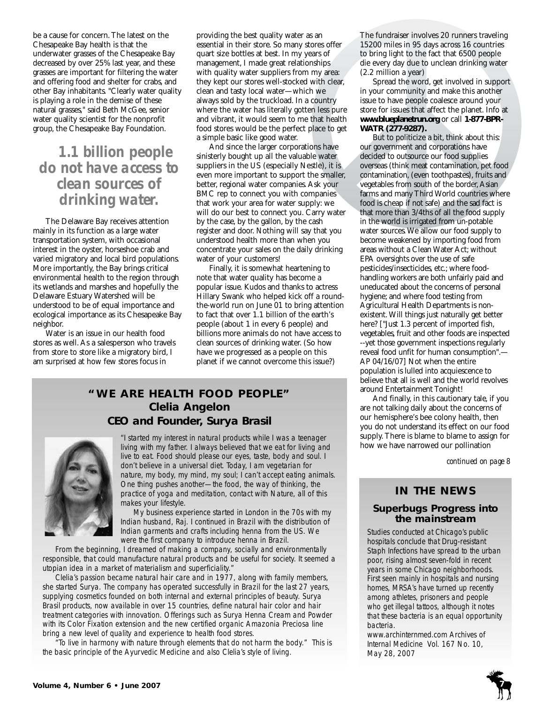be a cause for concern. The latest on the Chesapeake Bay health is that the underwater grasses of the Chesapeake Bay decreased by over 25% last year, and these grasses are important for filtering the water and offering food and shelter for crabs, and other Bay inhabitants. "Clearly water quality is playing a role in the demise of these natural grasses," said Beth McGee, senior water quality scientist for the nonprofit group, the Chesapeake Bay Foundation.

# *1.1 billion people do not have access to clean sources of drinking water.*

The Delaware Bay receives attention mainly in its function as a large water transportation system, with occasional interest in the oyster, horseshoe crab and varied migratory and local bird populations. More importantly, the Bay brings critical environmental health to the region through its wetlands and marshes and hopefully the Delaware Estuary Watershed will be understood to be of equal importance and ecological importance as its Chesapeake Bay neighbor.

Water is an issue in our health food stores as well. As a salesperson who travels from store to store like a migratory bird, I am surprised at how few stores focus in

providing the best quality water as an essential in their store. So many stores offer quart size bottles at best. In my years of management, I made great relationships with quality water suppliers from my area: they kept our stores well-stocked with clear, clean and tasty local water—which we always sold by the truckload. In a country where the water has literally gotten less pure and vibrant, it would seem to me that health food stores would be the perfect place to get a simple basic like good water.

And since the larger corporations have sinisterly bought up all the valuable water suppliers in the US (especially Nestle), it is even more important to support the smaller, better, regional water companies. Ask your BMC rep to connect you with companies that work your area for water supply: we will do our best to connect you. Carry water by the case, by the gallon, by the cash register and door. Nothing will say that you understood health more than when you concentrate your sales on the daily drinking water of your customers!

Finally, it is somewhat heartening to note that water quality has become a popular issue. Kudos and thanks to actress Hillary Swank who helped kick off a roundthe-world run on June 01 to bring attention to fact that over 1.1 billion of the earth's people (about 1 in every 6 people) and billions more animals do not have access to clean sources of drinking water. (So how have we progressed as a people on this planet if we cannot overcome this issue?)

# **"WE ARE HEALTH FOOD PEOPLE" Clelia Angelon** *CEO and Founder, Surya Brasil*



"I started my interest in natural products while I was a teenager living with my father. I always believed that we eat for living and live to eat. Food should please our eyes, taste, body and soul. I don't believe in a universal diet. Today, I am vegetarian for nature, my body, my mind, my soul; I can't accept eating animals. One thing pushes another—the food, the way of thinking, the practice of yoga and meditation, contact with Nature, all of this makes your lifestyle.

My business experience started in London in the 70s with my Indian husband, Raj. I continued in Brazil with the distribution of Indian garments and crafts including henna from the US. We were the first company to introduce henna in Brazil.

From the beginning, I dreamed of making a company, socially and environmentally responsible, that could manufacture natural products and be useful for society. It seemed a utopian idea in a market of materialism and superficiality."

Clelia's passion became natural hair care and in 1977, along with family members, she started Surya. The company has operated successfully in Brazil for the last 27 years, supplying cosmetics founded on both internal and external principles of beauty. Surya Brasil products, now available in over 15 countries, define natural hair color and hair treatment categories with innovation. Offerings such as Surya Henna Cream and Powder with its Color Fixation extension and the new certified organic Amazonia Preciosa line bring a new level of quality and experience to health food stores.

"To live in harmony with nature through elements that do not harm the body." This is the basic principle of the Ayurvedic Medicine and also Clelia's style of living.

The fundraiser involves 20 runners traveling 15200 miles in 95 days across 16 countries to bring light to the fact that 6500 people die every day due to unclean drinking water (2.2 million a year)

Spread the word, get involved in support in your community and make this another issue to have people coalesce around your store for issues that affect the planet. Info at **www.blueplanetrun.org** or call **1-877-BPR-WATR (277-9287).**

But to politicize a bit, think about this: our government and corporations have decided to outsource our food supplies overseas (think meat contamination, pet food contamination, (even toothpastes), fruits and vegetables from south of the border, Asian farms and many Third World countries where food is cheap if not safe) and the sad fact is that more than 3/4ths of all the food supply in the world is irrigated from un-potable water sources. We allow our food supply to become weakened by importing food from areas without a Clean Water Act; without EPA oversights over the use of safe pesticides/insecticides, etc.; where foodhandling workers are both unfairly paid and uneducated about the concerns of personal hygiene; and where food testing from Agricultural Health Departments is nonexistent. Will things just naturally get better here? ["Just 1.3 percent of imported fish, vegetables, fruit and other foods are inspected --yet those government inspections regularly reveal food unfit for human consumption".— AP 04/16/07] Not when the entire population is lulled into acquiescence to believe that all is well and the world revolves around Entertainment Tonight!

And finally, in this cautionary tale, if you are not talking daily about the concerns of our hemisphere's bee colony health, then you do not understand its effect on our food supply. There is blame to blame to assign for how we have narrowed our pollination

*continued on page 8*

# **IN THE NEWS**

# **Superbugs Progress into the mainstream**

Studies conducted at Chicago's public hospitals conclude that Drug-resistant Staph Infections have spread to the urban poor, rising almost seven-fold in recent years in some Chicago neighborhoods. First seen mainly in hospitals and nursing homes, MRSA's have turned up recently among athletes, prisoners and people who get illegal tattoos, although it notes that these bacteria is an equal opportunity bacteria.

www.archinternmed.com *Archives of Internal Medicine* Vol. 167 No. 10, May 28, 2007